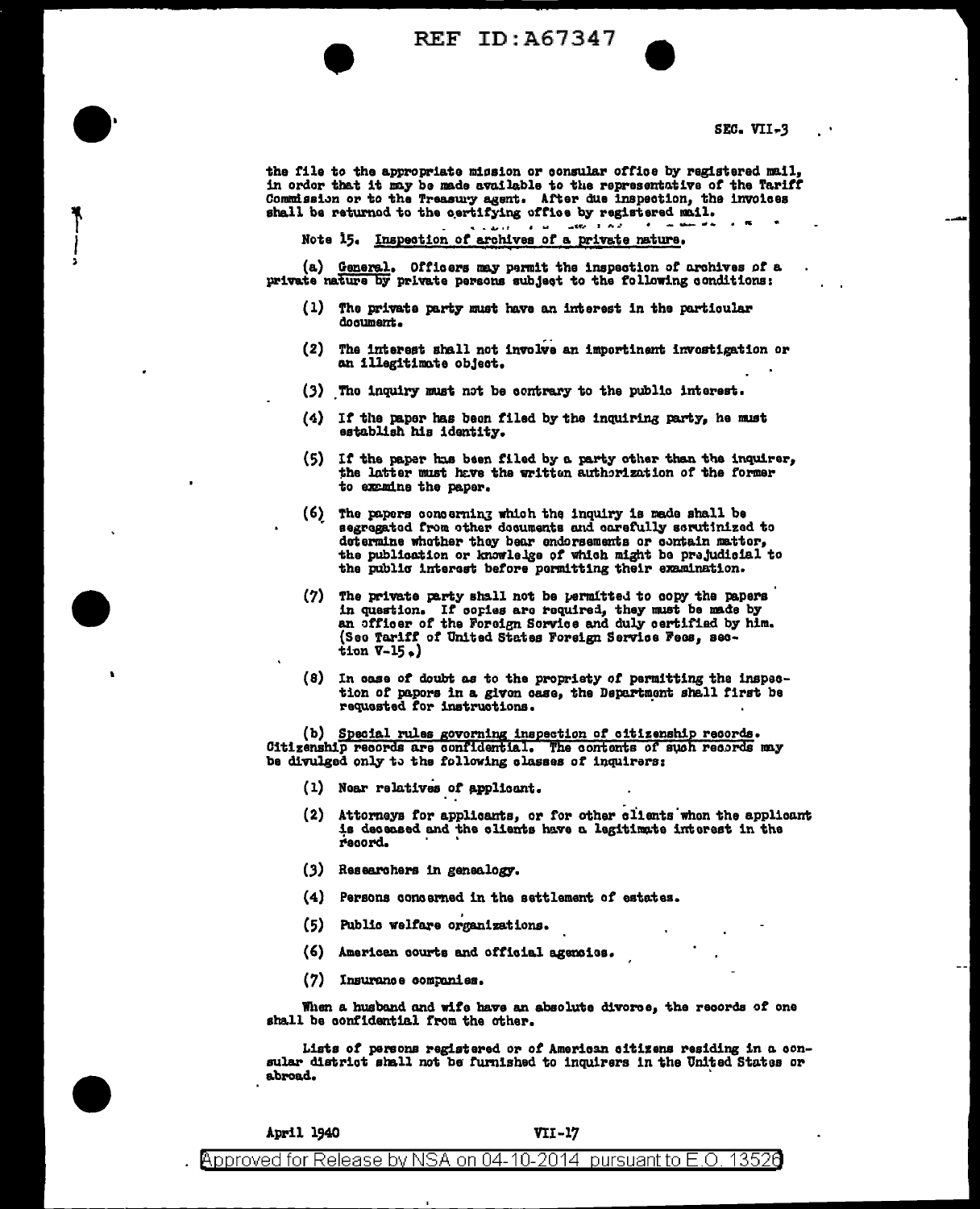**REF ID: A67347** 

SEC. VII-3

the file to the appropriate mission or consular office by registered mail, in order that it may be made available to the representative of the Tariff Commission or to the Treasury agent. After due inspection, the involces shall be returned to the certifying office by registered mail.  $200 - 100$  $\mathbf{a}=\mathbf{a}$  .

e savit i Note 15. Inspection of archives of a private nature.

(a) General. Officers may permit the inspection of archives of a private nature by private persons subject to the following conditions:

- (1) The private party must have an interest in the particular document.
- (2) The interest shall not involve an importinent investigation or an illegitimate object.
- (3) The inquiry must not be contrary to the public interest.
- (4) If the paper has been filed by the inquiring party, he must establish his identity.
- (5) If the paper has been filed by a party other than the inquirer, the latter must have the written authorization of the former to examine the paper.
- (6) The papers concerning which the inquiry is made shall be segregated from other decuments and carefully serutinized to determine whether they bear endorsements or contain matter, the publication or knowledge of which might be prejudicial to the public interest before permitting their examination.
- (7) The private party shall not be permitted to copy the papers in question. If cories are required, they must be made by an officer of the Foreign Sorvice and duly certified by him. (See Tariff of United States Foreign Service Fees, section  $V-15$ .)
- (8) In case of doubt as to the propriety of permitting the inspection of papors in a given case, the Department shall first be requested for instructions.

(b) Special rules govorning inspection of citizenship records. Citizenship records are confidential. The contents of such records may be divulged only to the following classes of inquirers:

- (1) Noar relatives of applicant.
- (2) Attorneys for applicants, or for other clients when the applicant is deceased and the clients have a legitimate interest in the record.
- $(3)$  Researchers in genealogy.
- (4) Persons concerned in the settlement of estates.
- (5) Public welfare organizations.
- (6) American courts and official agencies.
- (7) Insurance companies.

When a husband and wife have an absolute divorce, the records of one shall be confidential from the other.

Lists of persons registered or of American citizens residing in a consular district shall not be furnished to inquirers in the United States or abroad.

| April 1940 |  |  |  |  |  |  |  | <b>VII-17</b> |  |  |  |  |
|------------|--|--|--|--|--|--|--|---------------|--|--|--|--|
|            |  |  |  |  |  |  |  |               |  |  |  |  |

Approved for Release by NSA on 04-10-2014 pursuant to E.O. 13526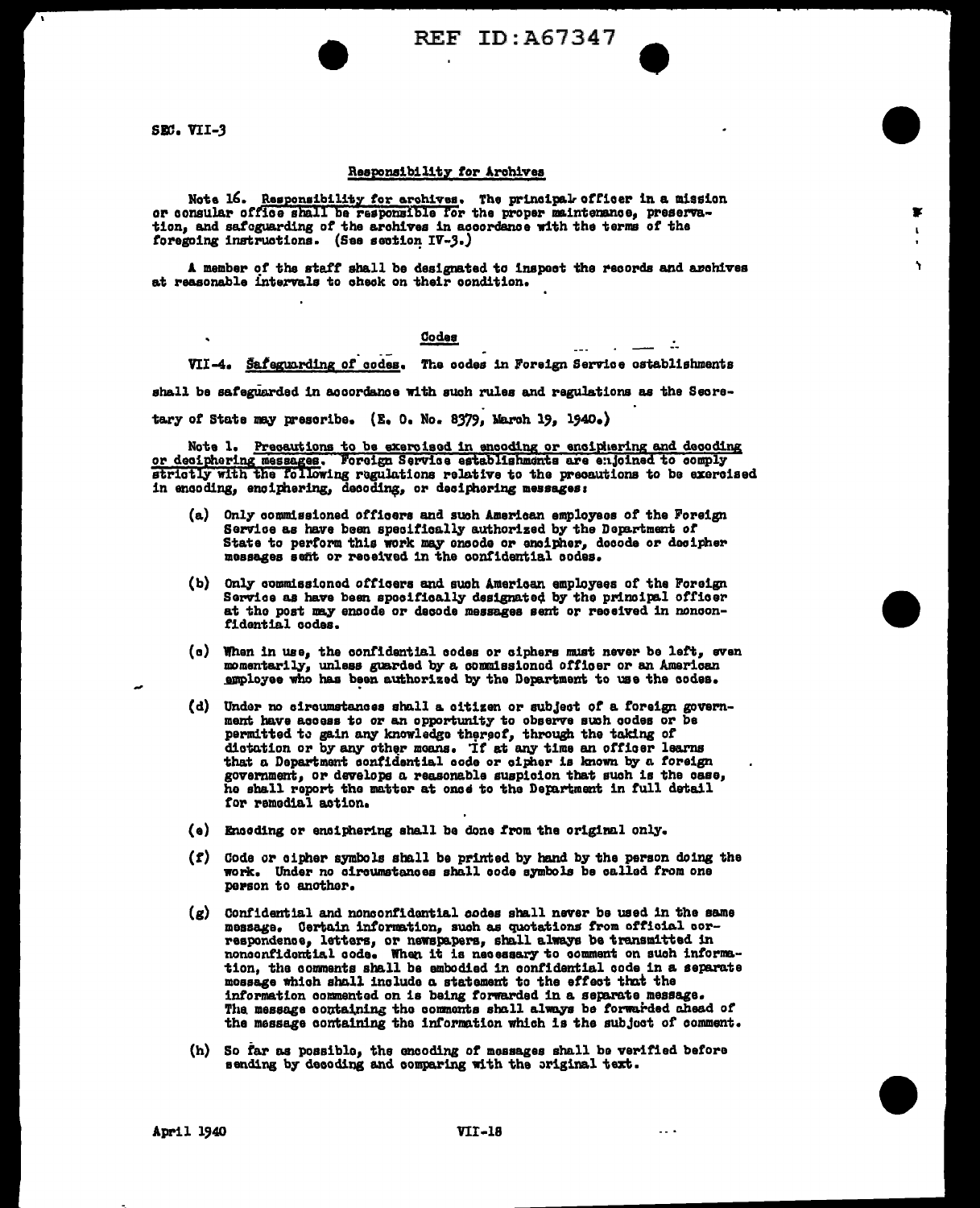REF ID: A67347

 $-$ 

SEC. VII-3

## Responsibility for Archives

Note 16. Responsibility for erchives. The principal officer in a mission or consular office shall be responsible for the proper maintenance, preservation, and safeguarding of the archives in accordance with the terms of the foregoing instructions. (See section IV-3.)

A member of the staff shall be designated to inspect the records and archives at reasonable intervals to check on their condition.

## Codes

VII-4. Safeguarding of codes. The codes in Foreign Service ostablishments

shall be safeguarded in accordance with such rules and regulations as the Secre-

tary of State may prescribe. (E. O. No. 8379, March 19, 1940.)

Note 1. Precentions to be exercised in encoding or enciphering and decoding<br>or deciphering messages. Foreign Service establishments are enjoined to comply<br>strictly with the following regulations relative to the precentions in encoding, enciphering, decoding, or deciphering messages:

- Only commissioned officers and such American employees of the Foreign Service as have been specifically authorized by the Department of State to perform this work may ensode or encipher, decode or decipher messages sent or received in the confidential codes.
- (b) Only commissioned officers and such American employees of the Foreign Service as have been specifically designated by the principal officer at the post may encode or decode messages sent or received in nonconfidential codes.
- (c) When in use, the confidential codes or ciphers must never be left, even momentarily, unless guarded by a commissioned officer or an American employee who has been authorized by the Department to use the codes.
- (d) Under no circumstances shall a citizen or subject of a foreign government have access to or an opportunity to observe such codes or be permitted to gain any knowledge thereof, through the taking of dictation or by any other means. If at any time an officer learns that a Department confidential code or cipher is known by a foreign government, or develops a reasonable suspicion that such is the case, he shall report the matter at ones to the Department in full detail for remedial action.
- (e) Encoding or enciphering shall be done from the original only.
- (f) Gode or cipher symbols shall be printed by hand by the person doing the work. Under no circumstances shall code symbols be called from one person to another.
- (g) Confidential and nonconfidential codes shall never be used in the same message. Certain information, such as quotations from official correspondence, letters, or newspapers, shall always be transmitted in nonconfidential code. When it is necessary to comment on such information, the comments shall be embodied in confidential code in a separate mossage which shall include a statement to the effect that the information commented on is being forwarded in a separate message. The message containing the comments shall always be forwarded ahead of the message containing the information which is the subject of comment.
- (h) So far as possible, the encoding of messages shall be verified before sending by decoding and comparing with the original text.

April 1940

 $\sim$   $\sim$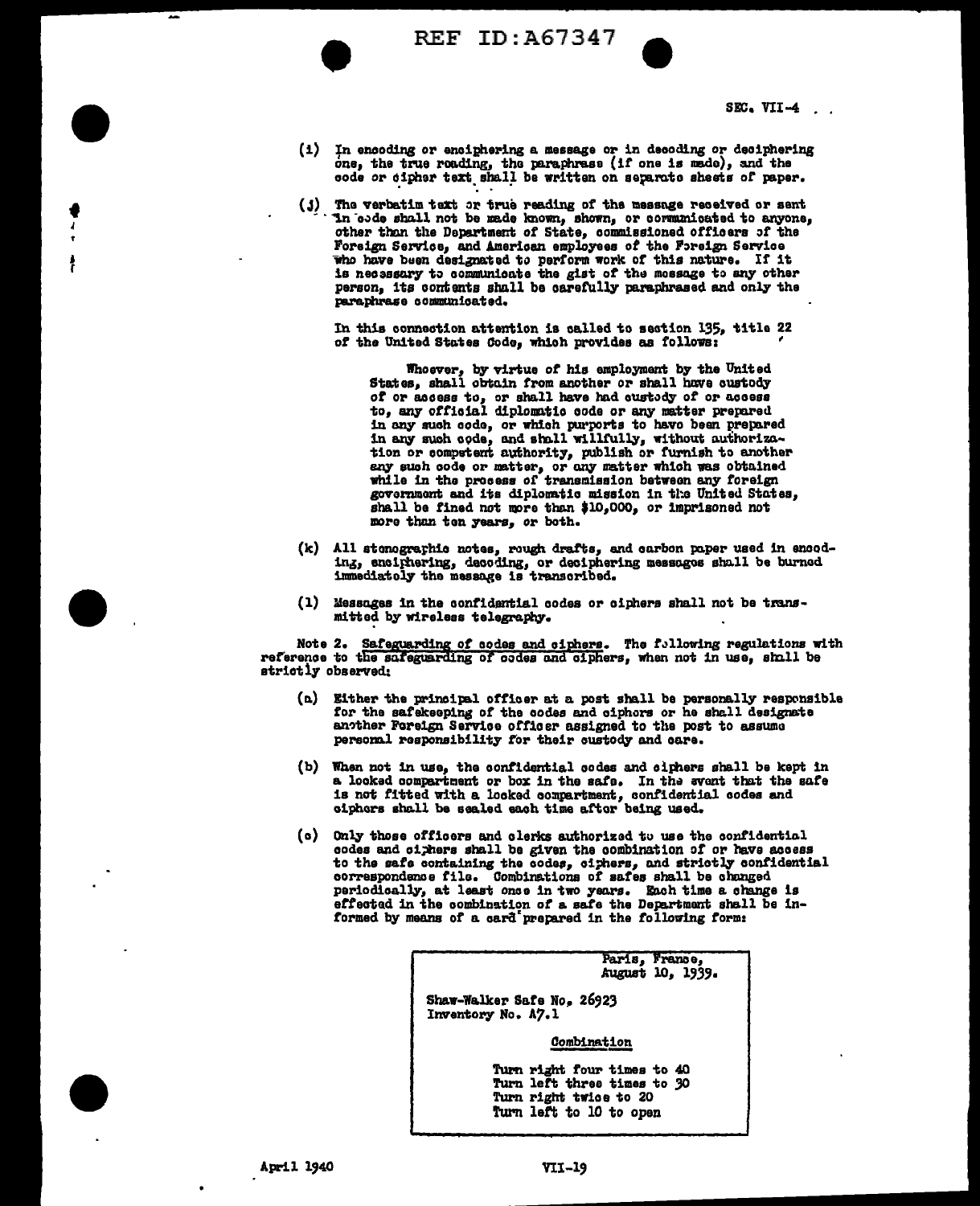

♥ 1

REF ID: A67347

SEC. VII-4 $\ldots$ 

- (i) In encoding or enciphering a message or in decoding or deciphering one, the true reading, the paraphrase (if one is made), and the code or cipher text shall be written on separate sheets of paper.
- (j) The verbatim text or true reading of the message received or sent In obde shall not be made known, shown, or communicated to anyone, other than the Department of State, commissioned officers of the Foreign Service, and American employees of the Foreign Service who have been designated to perform work of this nature. If it is necessary to communicate the gist of the mossage to any other person. Its contents shall be carefully paraphrased and only the paraphrase communicated.

In this connection attention is called to section 135, title 22 of the United States Code, which provides as follows:

Whoever, by virtue of his employment by the United<br>States, shall obtain from another or shall have custedy of or access to, or shall have had custody of or access to, any official diplomatic code or any matter prepared in any such code, or which purports to have been prepared in any such code, and shall willfully, without authorization or computent authority, publish or furnish to another any such code or matter, or any matter which was obtained while in the process of transmission between any foreign government and its diplomatic mission in the United States, shall be fined not more than \$10,000, or imprisoned not more than ten years, or both.

- (k) All stomographic notes, rough drafts, and carbon paper used in encoding, enclinering, decoding, or deciphering messages shall be burned immediately the message is transoribed.
- (1) Messages in the confidential codes or ciphers shall not be transmitted by wireless telegraphy.

Note 2. Safeguarding of codes and ciphers. The following regulations with reference to the safeguarding of codes and ciphers, when not in use, shall be strictly observed:

- $(a)$  Either the principal officer at a post shall be personally responsible for the safekeeping of the codes and ciphors or he shall designate another Foreign Service officer assigned to the post to assume personal responsibility for their custody and care.
- (b) When not in use, the confidential codes and ciphers shall be kept in a looked compartment or box in the safe. In the syent that the safe is not fitted with a looked compartment, confidential codes and ciphers shall be sealed each time after being used.
- (c) Only those officers and clerks authorized to use the confidential codes and cighers shall be given the combination of or have access to the safe containing the codes, cithers, and strictly confidential correspondence file. Combinations of safes shall be changed periodically, at least once in two years. Each time a change is effected in the combination of a safe the Department shall be informed by means of a card prepared in the following form:

Paris, France,<br>kugust 10, 1939.

Shaw-Walker Safe No. 26923 Inventory No. A7.1

Combination

Turn right four times to 40 Turn left three times to 30 Turn right twice to 20 Turn left to 10 to open

 $\blacksquare$